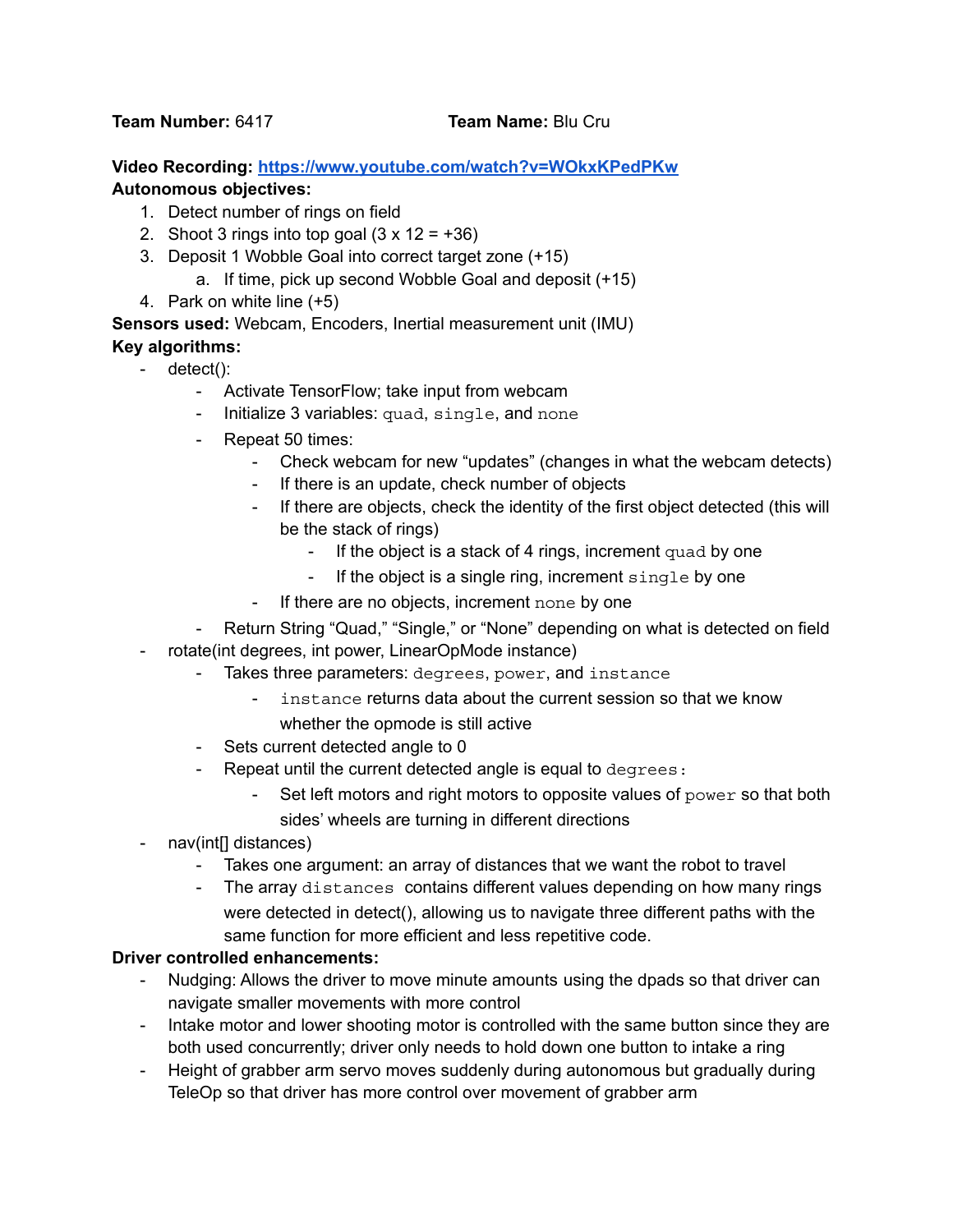**Team Number:** 6417 **Team Name:** Blu Cru

**Video Recording: <https://www.youtube.com/watch?v=WOkxKPedPKw> Autonomous objectives:**

- 1. Detect number of rings on field
- 2. Shoot 3 rings into top goal  $(3 \times 12 = +36)$
- 3. Deposit 1 Wobble Goal into correct target zone (+15)
	- a. If time, pick up second Wobble Goal and deposit (+15)
- 4. Park on white line (+5)

**Sensors used:** Webcam, Encoders, Inertial measurement unit (IMU)

## **Key algorithms:**

- detect():
	- Activate TensorFlow; take input from webcam
	- Initialize 3 variables: quad, single, and none
	- Repeat 50 times:
		- Check webcam for new "updates" (changes in what the webcam detects)
		- If there is an update, check number of objects
		- If there are objects, check the identity of the first object detected (this will be the stack of rings)
			- If the object is a stack of 4 rings, increment quad by one
			- If the object is a single ring, increment single by one
		- If there are no objects, increment none by one
	- Return String "Quad," "Single," or "None" depending on what is detected on field
- rotate(int degrees, int power, LinearOpMode instance)
	- Takes three parameters: degrees, power, and instance
		- instance returns data about the current session so that we know whether the opmode is still active
	- Sets current detected angle to 0
	- Repeat until the current detected angle is equal to degrees:
		- Set left motors and right motors to opposite values of power so that both
			- sides' wheels are turning in different directions
- nav(int[] distances)
	- Takes one argument: an array of distances that we want the robot to travel
	- The array distances contains different values depending on how many rings were detected in detect(), allowing us to navigate three different paths with the same function for more efficient and less repetitive code.

## **Driver controlled enhancements:**

- Nudging: Allows the driver to move minute amounts using the dpads so that driver can navigate smaller movements with more control
- Intake motor and lower shooting motor is controlled with the same button since they are both used concurrently; driver only needs to hold down one button to intake a ring
- Height of grabber arm servo moves suddenly during autonomous but gradually during TeleOp so that driver has more control over movement of grabber arm